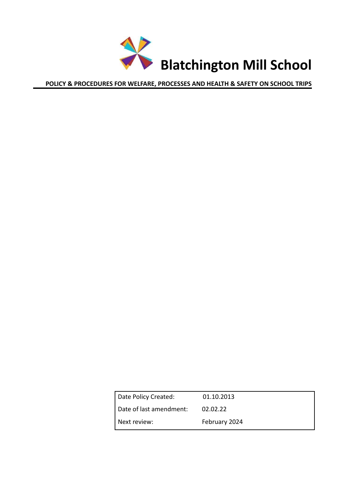<span id="page-0-0"></span>

|              | Date Policy Created:    | 01.10.2013    |
|--------------|-------------------------|---------------|
|              | Date of last amendment: | 02.02.22      |
| Next review: |                         | February 2024 |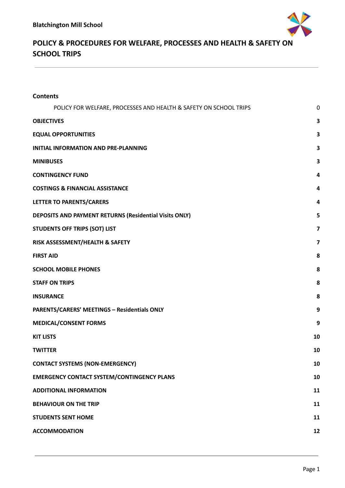

| <b>Contents</b>                                                   |                         |
|-------------------------------------------------------------------|-------------------------|
| POLICY FOR WELFARE, PROCESSES AND HEALTH & SAFETY ON SCHOOL TRIPS | 0                       |
| <b>OBJECTIVES</b>                                                 | 3                       |
| <b>EQUAL OPPORTUNITIES</b>                                        | 3                       |
| <b>INITIAL INFORMATION AND PRE-PLANNING</b>                       | 3                       |
| <b>MINIBUSES</b>                                                  | 3                       |
| <b>CONTINGENCY FUND</b>                                           | 4                       |
| <b>COSTINGS &amp; FINANCIAL ASSISTANCE</b>                        | 4                       |
| LETTER TO PARENTS/CARERS                                          | 4                       |
| DEPOSITS AND PAYMENT RETURNS (Residential Visits ONLY)            | 5                       |
| <b>STUDENTS OFF TRIPS (SOT) LIST</b>                              | $\overline{\mathbf{z}}$ |
| RISK ASSESSMENT/HEALTH & SAFETY                                   | $\overline{\mathbf{z}}$ |
| <b>FIRST AID</b>                                                  | 8                       |
| <b>SCHOOL MOBILE PHONES</b>                                       | 8                       |
| <b>STAFF ON TRIPS</b>                                             | 8                       |
| <b>INSURANCE</b>                                                  | 8                       |
| <b>PARENTS/CARERS' MEETINGS - Residentials ONLY</b>               | 9                       |
| <b>MEDICAL/CONSENT FORMS</b>                                      | 9                       |
| <b>KIT LISTS</b>                                                  | 10                      |
| <b>TWITTER</b>                                                    | 10                      |
| <b>CONTACT SYSTEMS (NON-EMERGENCY)</b>                            | 10                      |
| <b>EMERGENCY CONTACT SYSTEM/CONTINGENCY PLANS</b>                 | 10                      |
| <b>ADDITIONAL INFORMATION</b>                                     | 11                      |
| <b>BEHAVIOUR ON THE TRIP</b>                                      | 11                      |
| <b>STUDENTS SENT HOME</b>                                         | 11                      |
| <b>ACCOMMODATION</b>                                              | 12                      |
|                                                                   |                         |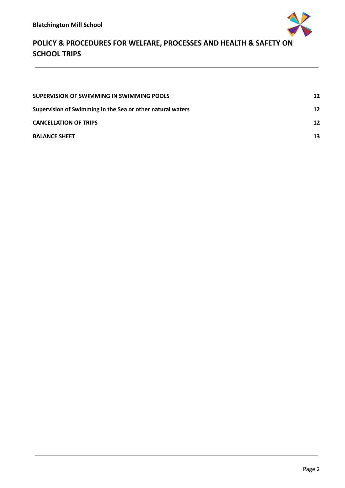

| SUPERVISION OF SWIMMING IN SWIMMING POOLS                  | 12 |
|------------------------------------------------------------|----|
| Supervision of Swimming in the Sea or other natural waters | 12 |
| <b>CANCELLATION OF TRIPS</b>                               | 12 |
| <b>BALANCE SHEET</b>                                       | 13 |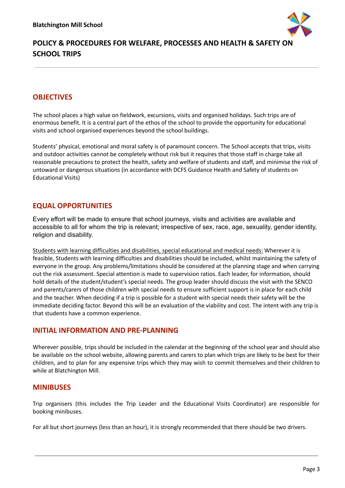

### <span id="page-3-0"></span>**OBJECTIVES**

The school places a high value on fieldwork, excursions, visits and organised holidays. Such trips are of enormous benefit. It is a central part of the ethos of the school to provide the opportunity for educational visits and school organised experiences beyond the school buildings.

Students' physical, emotional and moral safety is of paramount concern. The School accepts that trips, visits and outdoor activities cannot be completely without risk but it requires that those staff in charge take all reasonable precautions to protect the health, safety and welfare of students and staff, and minimise the risk of untoward or dangerous situations (in accordance with DCFS Guidance Health and Safety of students on Educational Visits)

### <span id="page-3-1"></span>**EQUAL OPPORTUNITIES**

Every effort will be made to ensure that school journeys, visits and activities are available and accessible to all for whom the trip is relevant; irrespective of sex, race, age, sexuality, gender identity, religion and disability.

Students with learning difficulties and disabilities, special educational and medical needs: Wherever it is feasible, Students with learning difficulties and disabilities should be included, whilst maintaining the safety of everyone in the group. Any problems/limitations should be considered at the planning stage and when carrying out the risk assessment. Special attention is made to supervision ratios. Each leader, for information, should hold details of the student/student's special needs. The group leader should discuss the visit with the SENCO and parents/carers of those children with special needs to ensure sufficient support is in place for each child and the teacher. When deciding if a trip is possible for a student with special needs their safety will be the immediate deciding factor. Beyond this will be an evaluation of the viability and cost. The intent with any trip is that students have a common experience.

### <span id="page-3-2"></span>**INITIAL INFORMATION AND PRE-PLANNING**

Wherever possible, trips should be included in the calendar at the beginning of the school year and should also be available on the school website, allowing parents and carers to plan which trips are likely to be best for their children, and to plan for any expensive trips which they may wish to commit themselves and their children to while at Blatchington Mill.

### <span id="page-3-3"></span>**MINIBUSES**

Trip organisers (this includes the Trip Leader and the Educational Visits Coordinator) are responsible for booking minibuses.

For all but short journeys (less than an hour), it is strongly recommended that there should be two drivers.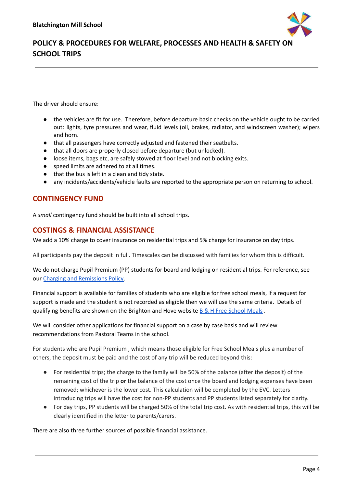

The driver should ensure:

- the vehicles are fit for use. Therefore, before departure basic checks on the vehicle ought to be carried out: lights, tyre pressures and wear, fluid levels (oil, brakes, radiator, and windscreen washer); wipers and horn.
- that all passengers have correctly adjusted and fastened their seatbelts.
- that all doors are properly closed before departure (but unlocked).
- loose items, bags etc, are safely stowed at floor level and not blocking exits.
- speed limits are adhered to at all times.
- that the bus is left in a clean and tidy state.
- any incidents/accidents/vehicle faults are reported to the appropriate person on returning to school.

### <span id="page-4-0"></span>**CONTINGENCY FUND**

A *small* contingency fund should be built into all school trips.

#### <span id="page-4-1"></span>**COSTINGS & FINANCIAL ASSISTANCE**

We add a 10% charge to cover insurance on residential trips and 5% charge for insurance on day trips.

All participants pay the deposit in full. Timescales can be discussed with families for whom this is difficult.

We do not charge Pupil Premium (PP) students for board and lodging on residential trips. For reference, see our Charging and [Remissions](https://www.blatchingtonmill.org.uk/assets/Uploads/BMS-charging-and-remissions-policy-Dec-16-FINAL.pdf) Policy.

Financial support is available for families of students who are eligible for free school meals, if a request for support is made and the student is not recorded as eligible then we will use the same criteria. Details of qualifying benefits are shown on the Brighton and Hove website B & H Free [School](https://www.brighton-hove.gov.uk/schools-and-learning/free-school-meals) Meals.

We will consider other applications for financial support on a case by case basis and will review recommendations from Pastoral Teams in the school.

For students who are Pupil Premium , which means those eligible for Free School Meals plus a number of others, the deposit must be paid and the cost of any trip will be reduced beyond this:

- For residential trips; the charge to the family will be 50% of the balance (after the deposit) of the remaining cost of the trip **or** the balance of the cost once the board and lodging expenses have been removed; whichever is the lower cost. This calculation will be completed by the EVC. Letters introducing trips will have the cost for non-PP students and PP students listed separately for clarity.
- For day trips, PP students will be charged 50% of the total trip cost. As with residential trips, this will be clearly identified in the letter to parents/carers.

There are also three further sources of possible financial assistance.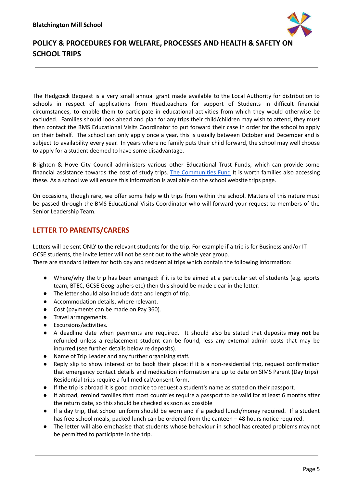

The Hedgcock Bequest is a very small annual grant made available to the Local Authority for distribution to schools in respect of applications from Headteachers for support of Students in difficult financial circumstances, to enable them to participate in educational activities from which they would otherwise be excluded. Families should look ahead and plan for any trips their child/children may wish to attend, they must then contact the BMS Educational Visits Coordinator to put forward their case in order for the school to apply on their behalf. The school can only apply once a year, this is usually between October and December and is subject to availability every year. In years where no family puts their child forward, the school may well choose to apply for a student deemed to have some disadvantage.

Brighton & Hove City Council administers various other Educational Trust Funds, which can provide some financial assistance towards the cost of study trips. The [Communities](http://www.brighton-hove.gov.uk/content/life-events-and-communities/community-and-voluntary-sector-support/communities-fund) Fund It is worth families also accessing these. As a school we will ensure this information is available on the school website trips page.

On occasions, though rare, we offer some help with trips from within the school. Matters of this nature must be passed through the BMS Educational Visits Coordinator who will forward your request to members of the Senior Leadership Team.

### **LETTER TO PARENTS/CARERS**

Letters will be sent ONLY to the relevant students for the trip. For example if a trip is for Business and/or IT GCSE students, the invite letter will not be sent out to the whole year group.

There are standard letters for both day and residential trips which contain the following information:

- Where/why the trip has been arranged: if it is to be aimed at a particular set of students (e.g. sports team, BTEC, GCSE Geographers etc) then this should be made clear in the letter.
- The letter should also include date and length of trip.
- Accommodation details, where relevant.
- Cost (payments can be made on Pay 360).
- Travel arrangements.
- Excursions/activities.
- A deadline date when payments are required. It should also be stated that deposits **may not** be refunded unless a replacement student can be found, less any external admin costs that may be incurred (see further details below re deposits).
- Name of Trip Leader and any further organising staff.
- Reply slip to show interest or to book their place: if it is a non-residential trip, request confirmation that emergency contact details and medication information are up to date on SIMS Parent (Day trips). Residential trips require a full medical/consent form.
- If the trip is abroad it is good practice to request a student's name as stated on their passport.
- If abroad, remind families that most countries require a passport to be valid for at least 6 months after the return date, so this should be checked as soon as possible
- If a day trip, that school uniform should be worn and if a packed lunch/money required. If a student has free school meals, packed lunch can be ordered from the canteen – 48 hours notice required.
- The letter will also emphasise that students whose behaviour in school has created problems may not be permitted to participate in the trip.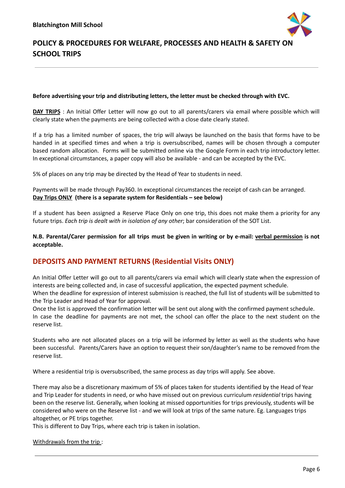

#### **Before advertising your trip and distributing letters, the letter must be checked through with EVC.**

**DAY TRIPS** : An Initial Offer Letter will now go out to all parents/carers via email where possible which will clearly state when the payments are being collected with a close date clearly stated.

If a trip has a limited number of spaces, the trip will always be launched on the basis that forms have to be handed in at specified times and when a trip is oversubscribed, names will be chosen through a computer based random allocation. Forms will be submitted online via the Google Form in each trip introductory letter. In exceptional circumstances, a paper copy will also be available - and can be accepted by the EVC.

5% of places on any trip may be directed by the Head of Year to students in need.

Payments will be made through Pay360. In exceptional circumstances the receipt of cash can be arranged. **Day Trips ONLY (there is a separate system for Residentials – see below)**

If a student has been assigned a Reserve Place Only on one trip, this does not make them a priority for any future trips. *Each trip is dealt with in isolation of any other*; bar consideration of the SOT List.

N.B. Parental/Carer permission for all trips must be given in writing or by e-mail: verbal permission is not **acceptable.**

### <span id="page-6-0"></span>**DEPOSITS AND PAYMENT RETURNS (Residential Visits ONLY)**

An Initial Offer Letter will go out to all parents/carers via email which will clearly state when the expression of interests are being collected and, in case of successful application, the expected payment schedule. When the deadline for expression of interest submission is reached, the full list of students will be submitted to the Trip Leader and Head of Year for approval.

Once the list is approved the confirmation letter will be sent out along with the confirmed payment schedule. In case the deadline for payments are not met, the school can offer the place to the next student on the reserve list.

Students who are not allocated places on a trip will be informed by letter as well as the students who have been successful. Parents/Carers have an option to request their son/daughter's name to be removed from the reserve list.

Where a residential trip is oversubscribed, the same process as day trips will apply. See above.

There may also be a discretionary maximum of 5% of places taken for students identified by the Head of Year and Trip Leader for students in need, or who have missed out on previous curriculum *residential* trips having been on the reserve list. Generally, when looking at missed opportunities for trips previously, students will be considered who were on the Reserve list - and we will look at trips of the same nature. Eg. Languages trips altogether, or PE trips together.

This is different to Day Trips, where each trip is taken in isolation.

Withdrawals from the trip :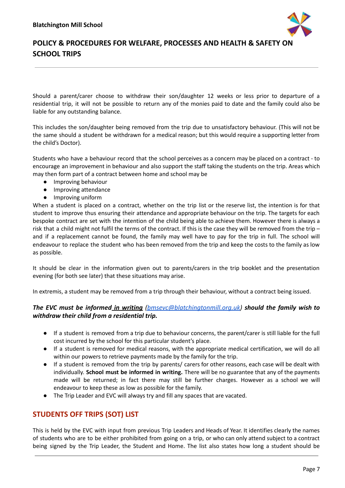

Should a parent/carer choose to withdraw their son/daughter 12 weeks or less prior to departure of a residential trip, it will not be possible to return any of the monies paid to date and the family could also be liable for any outstanding balance.

This includes the son/daughter being removed from the trip due to unsatisfactory behaviour. (This will not be the same should a student be withdrawn for a medical reason; but this would require a supporting letter from the child's Doctor).

Students who have a behaviour record that the school perceives as a concern may be placed on a contract - to encourage an improvement in behaviour and also support the staff taking the students on the trip. Areas which may then form part of a contract between home and school may be

- Improving behaviour
- Improving attendance
- Improving uniform

When a student is placed on a contract, whether on the trip list or the reserve list, the intention is for that student to improve thus ensuring their attendance and appropriate behaviour on the trip. The targets for each bespoke contract are set with the intention of the child being able to achieve them. However there is always a risk that a child might not fulfil the terms of the contract. If this is the case they will be removed from the trip – and if a replacement cannot be found, the family may well have to pay for the trip in full. The school will endeavour to replace the student who has been removed from the trip and keep the costs to the family as low as possible.

It should be clear in the information given out to parents/carers in the trip booklet and the presentation evening (for both see later) that these situations may arise.

In extremis, a student may be removed from a trip through their behaviour, without a contract being issued.

#### *The EVC must be informed in writing [\(bmsevc@blatchingtonmill.org.uk\)](mailto:bmsevc@blatchingtonmill.org.uk) should the family wish to withdraw their child from a residential trip.*

- If a student is removed from a trip due to behaviour concerns, the parent/carer is still liable for the full cost incurred by the school for this particular student's place.
- If a student is removed for medical reasons, with the appropriate medical certification, we will do all within our powers to retrieve payments made by the family for the trip.
- If a student is removed from the trip by parents/ carers for other reasons, each case will be dealt with individually. **School must be informed in writing.** There will be no guarantee that any of the payments made will be returned; in fact there may still be further charges. However as a school we will endeavour to keep these as low as possible for the family.
- The Trip Leader and EVC will always try and fill any spaces that are vacated.

### <span id="page-7-0"></span>**STUDENTS OFF TRIPS (SOT) LIST**

This is held by the EVC with input from previous Trip Leaders and Heads of Year. It identifies clearly the names of students who are to be either prohibited from going on a trip, or who can only attend subject to a contract being signed by the Trip Leader, the Student and Home. The list also states how long a student should be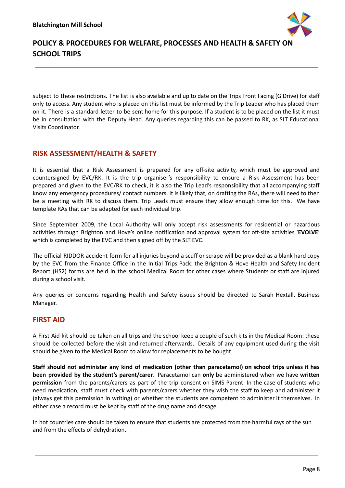

subject to these restrictions. The list is also available and up to date on the Trips Front Facing (G Drive) for staff only to access. Any student who is placed on this list must be informed by the Trip Leader who has placed them on it. There is a standard letter to be sent home for this purpose. If a student is to be placed on the list it must be in consultation with the Deputy Head. Any queries regarding this can be passed to RK, as SLT Educational Visits Coordinator.

### <span id="page-8-0"></span>**RISK ASSESSMENT/HEALTH & SAFETY**

It is essential that a Risk Assessment is prepared for any off-site activity, which must be approved and countersigned by EVC/RK. It is the trip organiser's responsibility to ensure a Risk Assessment has been prepared and given to the EVC/RK to check, it is also the Trip Lead's responsibility that all accompanying staff know any emergency procedures/ contact numbers. It is likely that, on drafting the RAs, there will need to then be a meeting with RK to discuss them. Trip Leads must ensure they allow enough time for this. We have template RAs that can be adapted for each individual trip.

Since September 2009, the Local Authority will only accept risk assessments for residential or hazardous activities through Brighton and Hove's online notification and approval system for off-site activities '**EVOLVE**' which is completed by the EVC and then signed off by the SLT EVC.

The official RIDDOR accident form for all injuries beyond a scuff or scrape will be provided as a blank hard copy by the EVC from the Finance Office in the Initial Trips Pack: the Brighton & Hove Health and Safety Incident Report (HS2) forms are held in the school Medical Room for other cases where Students or staff are injured during a school visit.

Any queries or concerns regarding Health and Safety issues should be directed to Sarah Hextall, Business Manager.

### <span id="page-8-1"></span>**FIRST AID**

A First Aid kit should be taken on all trips and the school keep a couple of such kits in the Medical Room: these should be collected before the visit and returned afterwards. Details of any equipment used during the visit should be given to the Medical Room to allow for replacements to be bought.

**Staff should not administer any kind of medication (other than paracetamol) on school trips unless it has been provided by the student's parent/carer.** Paracetamol can **only** be administered when we have **written permission** from the parents/carers as part of the trip consent on SIMS Parent. In the case of students who need medication, staff must check with parents/carers whether they wish the staff to keep and administer it (always get this permission in writing) or whether the students are competent to administer it themselves. In either case a record must be kept by staff of the drug name and dosage.

In hot countries care should be taken to ensure that students are protected from the harmful rays of the sun and from the effects of dehydration.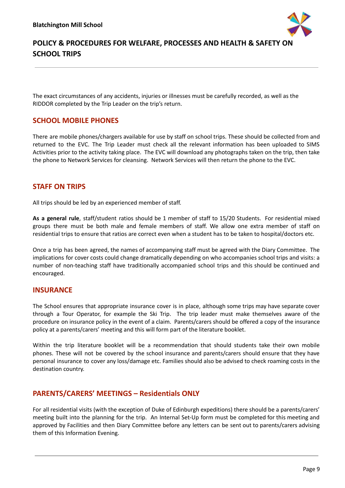

The exact circumstances of any accidents, injuries or illnesses must be carefully recorded, as well as the RIDDOR completed by the Trip Leader on the trip's return.

### <span id="page-9-0"></span>**SCHOOL MOBILE PHONES**

There are mobile phones/chargers available for use by staff on school trips. These should be collected from and returned to the EVC. The Trip Leader must check all the relevant information has been uploaded to SIMS Activities prior to the activity taking place. The EVC will download any photographs taken on the trip, then take the phone to Network Services for cleansing. Network Services will then return the phone to the EVC.

### **STAFF ON TRIPS**

All trips should be led by an experienced member of staff.

**As a general rule**, staff/student ratios should be 1 member of staff to 15/20 Students. For residential mixed groups there must be both male and female members of staff. We allow one extra member of staff on residential trips to ensure that ratios are correct even when a student has to be taken to hospital/doctors etc.

Once a trip has been agreed, the names of accompanying staff must be agreed with the Diary Committee. The implications for cover costs could change dramatically depending on who accompanies school trips and visits: a number of non-teaching staff have traditionally accompanied school trips and this should be continued and encouraged.

### <span id="page-9-1"></span>**INSURANCE**

The School ensures that appropriate insurance cover is in place, although some trips may have separate cover through a Tour Operator, for example the Ski Trip. The trip leader must make themselves aware of the procedure on insurance policy in the event of a claim. Parents/carers should be offered a copy of the insurance policy at a parents/carers' meeting and this will form part of the literature booklet.

Within the trip literature booklet will be a recommendation that should students take their own mobile phones. These will not be covered by the school insurance and parents/carers should ensure that they have personal insurance to cover any loss/damage etc. Families should also be advised to check roaming costs in the destination country.

### <span id="page-9-2"></span>**PARENTS/CARERS' MEETINGS – Residentials ONLY**

For all residential visits (with the exception of Duke of Edinburgh expeditions) there should be a parents/carers' meeting built into the planning for the trip. An Internal Set-Up form must be completed for this meeting and approved by Facilities and then Diary Committee before any letters can be sent out to parents/carers advising them of this Information Evening.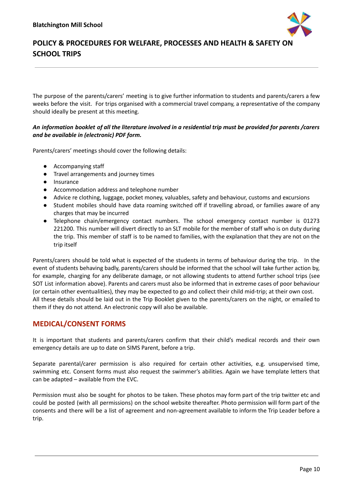

The purpose of the parents/carers' meeting is to give further information to students and parents/carers a few weeks before the visit. For trips organised with a commercial travel company, a representative of the company should ideally be present at this meeting.

#### An information booklet of all the literature involved in a residential trip must be provided for parents /carers *and be available in (electronic) PDF form.*

Parents/carers' meetings should cover the following details:

- Accompanying staff
- Travel arrangements and journey times
- Insurance
- Accommodation address and telephone number
- Advice re clothing, luggage, pocket money, valuables, safety and behaviour, customs and excursions
- Student mobiles should have data roaming switched off if travelling abroad, or families aware of any charges that may be incurred
- Telephone chain/emergency contact numbers. The school emergency contact number is 01273 221200. This number will divert directly to an SLT mobile for the member of staff who is on duty during the trip. This member of staff is to be named to families, with the explanation that they are not on the trip itself

Parents/carers should be told what is expected of the students in terms of behaviour during the trip. In the event of students behaving badly, parents/carers should be informed that the school will take further action by, for example, charging for any deliberate damage, or not allowing students to attend further school trips (see SOT List information above). Parents and carers must also be informed that in extreme cases of poor behaviour (or certain other eventualities), they may be expected to go and collect their child mid-trip; at their own cost. All these details should be laid out in the Trip Booklet given to the parents/carers on the night, or emailed to them if they do not attend. An electronic copy will also be available.

### <span id="page-10-0"></span>**MEDICAL/CONSENT FORMS**

It is important that students and parents/carers confirm that their child's medical records and their own emergency details are up to date on SIMS Parent, before a trip.

Separate parental/carer permission is also required for certain other activities, e.g. unsupervised time, swimming etc. Consent forms must also request the swimmer's abilities. Again we have template letters that can be adapted – available from the EVC.

Permission must also be sought for photos to be taken. These photos may form part of the trip twitter etc and could be posted (with all permissions) on the school website thereafter. Photo permission will form part of the consents and there will be a list of agreement and non-agreement available to inform the Trip Leader before a trip.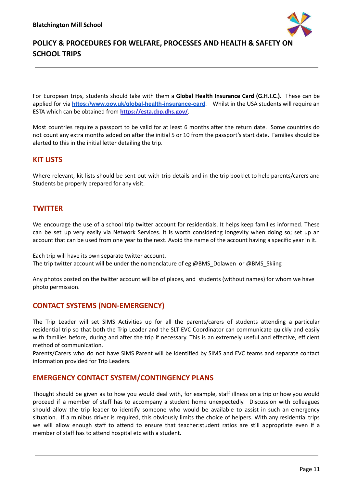

For European trips, students should take with them a **Global Health Insurance Card (G.H.I.C.).** These can be applied for via **[https://www.gov.uk/global-health-insurance-card](http://www.dh.gov.uk/travellers)**. Whilst in the USA students will require an ESTA which can be obtained from **<https://esta.cbp.dhs.gov/>**.

Most countries require a passport to be valid for at least 6 months after the return date. Some countries do not count any extra months added on after the initial 5 or 10 from the passport's start date. Families should be alerted to this in the initial letter detailing the trip.

#### <span id="page-11-0"></span>**KIT LISTS**

Where relevant, kit lists should be sent out with trip details and in the trip booklet to help parents/carers and Students be properly prepared for any visit.

### <span id="page-11-1"></span>**TWITTER**

We encourage the use of a school trip twitter account for residentials. It helps keep families informed. These can be set up very easily via Network Services. It is worth considering longevity when doing so; set up an account that can be used from one year to the next. Avoid the name of the account having a specific year in it.

Each trip will have its own separate twitter account. The trip twitter account will be under the nomenclature of eg @BMS\_Dolawen or @BMS\_Skiing

Any photos posted on the twitter account will be of places, and students (without names) for whom we have photo permission.

#### <span id="page-11-2"></span>**CONTACT SYSTEMS (NON-EMERGENCY)**

The Trip Leader will set SIMS Activities up for all the parents/carers of students attending a particular residential trip so that both the Trip Leader and the SLT EVC Coordinator can communicate quickly and easily with families before, during and after the trip if necessary. This is an extremely useful and effective, efficient method of communication.

Parents/Carers who do not have SIMS Parent will be identified by SIMS and EVC teams and separate contact information provided for Trip Leaders.

#### <span id="page-11-3"></span>**EMERGENCY CONTACT SYSTEM/CONTINGENCY PLANS**

Thought should be given as to how you would deal with, for example, staff illness on a trip or how you would proceed if a member of staff has to accompany a student home unexpectedly. Discussion with colleagues should allow the trip leader to identify someone who would be available to assist in such an emergency situation. If a minibus driver is required, this obviously limits the choice of helpers. With any residential trips we will allow enough staff to attend to ensure that teacher:student ratios are still appropriate even if a member of staff has to attend hospital etc with a student.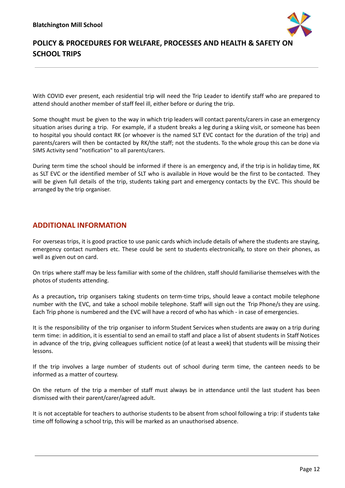

With COVID ever present, each residential trip will need the Trip Leader to identify staff who are prepared to attend should another member of staff feel ill, either before or during the trip.

Some thought must be given to the way in which trip leaders will contact parents/carers in case an emergency situation arises during a trip. For example, if a student breaks a leg during a skiing visit, or someone has been to hospital you should contact RK (or whoever is the named SLT EVC contact for the duration of the trip) and parents/carers will then be contacted by RK/the staff; not the students. To the whole group this can be done via SIMS Activity send "notification" to all parents/carers.

During term time the school should be informed if there is an emergency and, if the trip is in holiday time, RK as SLT EVC or the identified member of SLT who is available in Hove would be the first to be contacted. They will be given full details of the trip, students taking part and emergency contacts by the EVC. This should be arranged by the trip organiser.

#### <span id="page-12-0"></span>**ADDITIONAL INFORMATION**

For overseas trips, it is good practice to use panic cards which include details of where the students are staying, emergency contact numbers etc. These could be sent to students electronically, to store on their phones, as well as given out on card.

On trips where staff may be less familiar with some of the children, staff should familiarise themselves with the photos of students attending.

As a precaution**,** trip organisers taking students on term-time trips, should leave a contact mobile telephone number with the EVC, and take a school mobile telephone. Staff will sign out the Trip Phone/s they are using. Each Trip phone is numbered and the EVC will have a record of who has which - in case of emergencies.

It is the responsibility of the trip organiser to inform Student Services when students are away on a trip during term time: in addition, it is essential to send an email to staff and place a list of absent students in Staff Notices in advance of the trip, giving colleagues sufficient notice (of at least a week) that students will be missing their lessons.

If the trip involves a large number of students out of school during term time, the canteen needs to be informed as a matter of courtesy.

On the return of the trip a member of staff must always be in attendance until the last student has been dismissed with their parent/carer/agreed adult.

It is not acceptable for teachers to authorise students to be absent from school following a trip: if students take time off following a school trip, this will be marked as an unauthorised absence.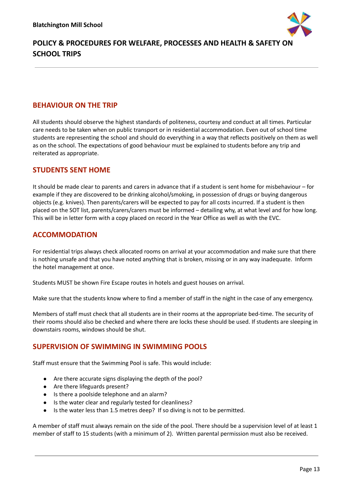

### <span id="page-13-0"></span>**BEHAVIOUR ON THE TRIP**

All students should observe the highest standards of politeness, courtesy and conduct at all times. Particular care needs to be taken when on public transport or in residential accommodation. Even out of school time students are representing the school and should do everything in a way that reflects positively on them as well as on the school. The expectations of good behaviour must be explained to students before any trip and reiterated as appropriate.

### <span id="page-13-1"></span>**STUDENTS SENT HOME**

It should be made clear to parents and carers in advance that if a student is sent home for misbehaviour – for example if they are discovered to be drinking alcohol/smoking, in possession of drugs or buying dangerous objects (e.g. knives). Then parents/carers will be expected to pay for all costs incurred. If a student is then placed on the SOT list, parents/carers/carers must be informed – detailing why, at what level and for how long. This will be in letter form with a copy placed on record in the Year Office as well as with the EVC.

### <span id="page-13-2"></span>**ACCOMMODATION**

For residential trips always check allocated rooms on arrival at your accommodation and make sure that there is nothing unsafe and that you have noted anything that is broken, missing or in any way inadequate. Inform the hotel management at once.

Students MUST be shown Fire Escape routes in hotels and guest houses on arrival.

Make sure that the students know where to find a member of staff in the night in the case of any emergency.

Members of staff must check that all students are in their rooms at the appropriate bed-time. The security of their rooms should also be checked and where there are locks these should be used. If students are sleeping in downstairs rooms, windows should be shut.

### <span id="page-13-3"></span>**SUPERVISION OF SWIMMING IN SWIMMING POOLS**

Staff must ensure that the Swimming Pool is safe. This would include:

- Are there accurate signs displaying the depth of the pool?
- Are there lifeguards present?
- Is there a poolside telephone and an alarm?
- Is the water clear and regularly tested for cleanliness?
- Is the water less than 1.5 metres deep? If so diving is not to be permitted.

A member of staff must always remain on the side of the pool. There should be a supervision level of at least 1 member of staff to 15 students (with a minimum of 2). Written parental permission must also be received.